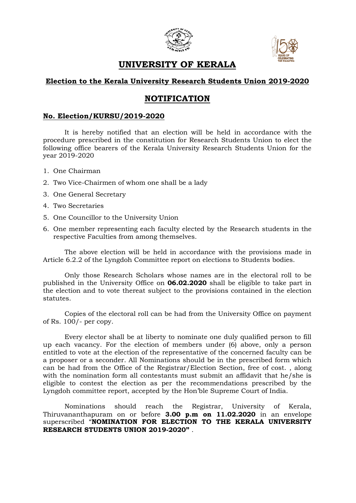



# **UNIVERSITY OF KERALA**

### **Election to the Kerala University Research Students Union 2019-2020**

# **NOTIFICATION**

#### **No. Election/KURSU/2019-2020**

It is hereby notified that an election will be held in accordance with the procedure prescribed in the constitution for Research Students Union to elect the following office bearers of the Kerala University Research Students Union for the year 2019-2020

- 1. One Chairman
- 2. Two Vice-Chairmen of whom one shall be a lady
- 3. One General Secretary
- 4. Two Secretaries
- 5. One Councillor to the University Union
- 6. One member representing each faculty elected by the Research students in the respective Faculties from among themselves.

The above election will be held in accordance with the provisions made in Article 6.2.2 of the Lyngdoh Committee report on elections to Students bodies.

Only those Research Scholars whose names are in the electoral roll to be published in the University Office on **06.02.2020** shall be eligible to take part in the election and to vote thereat subject to the provisions contained in the election statutes.

Copies of the electoral roll can be had from the University Office on payment of Rs. 100/- per copy.

Every elector shall be at liberty to nominate one duly qualified person to fill up each vacancy. For the election of members under (6) above, only a person entitled to vote at the election of the representative of the concerned faculty can be a proposer or a seconder. All Nominations should be in the prescribed form which can be had from the Office of the Registrar/Election Section, free of cost. , along with the nomination form all contestants must submit an affidavit that he/she is eligible to contest the election as per the recommendations prescribed by the Lyngdoh committee report, accepted by the Hon'ble Supreme Court of India.

Nominations should reach the Registrar, University of Kerala, Thiruvananthapuram on or before **3.00 p.m on 11.02.2020** in an envelope superscribed "**NOMINATION FOR ELECTION TO THE KERALA UNIVERSITY RESEARCH STUDENTS UNION 2019-2020"** .